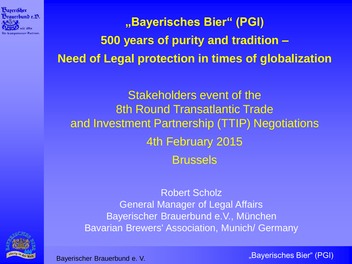

**"Bayerisches Bier" (PGI) 500 years of purity and tradition – Need of Legal protection in times of globalization**

Stakeholders event of the 8th Round Transatlantic Trade and Investment Partnership (TTIP) Negotiations 4th February 2015 Brussels

Robert Scholz General Manager of Legal Affairs Bayerischer Brauerbund e.V., München Bavarian Brewers' Association, Munich/ Germany

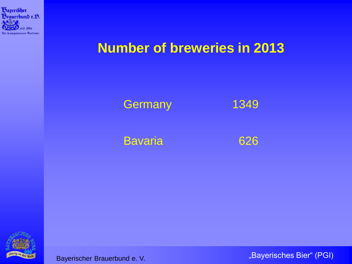

# **Number of breweries in 2013**



Bavaria 626

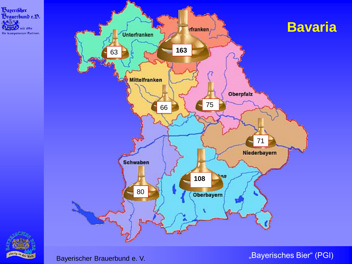



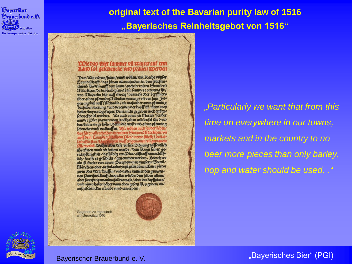

## **original text of the Bavarian purity law of 1516 "Bayerisches Reinheitsgebot von 1516"**

### **Dele das Bier fummer vfi winter auf cem**<br>Land fol gefchencke vnd pratien **w**erden

Jeem Wir ordnen/fenen/vmnd wollen/ mit Xathe winfer thamb Bayen/auff dem lande/auch in unfern Stettn un von Michaelis bip auff Georg/ainmass oder Popfpiers liber ainen pfenning!Itinder werung/ vn von fant Joze gen tag/bip auff il lichaelis / die mafs über zwen pfenning derselben werung / vnd derenden der topff ift / uber drey haller/beynachgefergeer Dene/nicht gegeben noch aufges fchencetht fol werden. Wo auch ainer nit? Meren / fonder annoer Dier prawen/oder fonft haben wiirde/fol iEr d och Das/Eains wegs hoher/Dann die maß vmb ainen pfenning fchencten/vno vertauffen. Wir wöllen auch fonderlichen/ postario allenthalben in virlern Steeten/Harchben/vii<br>auff den Lannde/3d Brinem Diet/ inerer [fiich] / dan al-<br>lain Gerften / Cannde/3d Brinem Diet/ inerer [fiich] / dan al-<br>lain Gerften / Cannde/3d Brinem Diet/genomen vii überfaren unno nichallten wurde / dem fol von feiner gerichasbrialait / daffelbig vas pier/zuftraff vnnachlaßlich/fooffe es geschicht / genommen werden. Nedoch wo ain 6 iwite von ainem Dierptewen in vnnsern Stettu Mirchen/ober aufmlande/yezüzeiti ainen Lemer piers/ zwen oder drey/Lauffen/ und wider vonteer den gemaynnen pawifuolct auffchemicten würde/dem felben allain/ aber jomme nyemandes/fol oye mafs / oder der l'opffpiers/ vmb ainen haller hoher dann oben gefert ift/zegeben/ vn/ außzeschencken erlaube vnno vnuerpotii.

Gegeben zu Ingolstadt am Georgitag 1516

*"Particularly we want that from this time on everywhere in our towns, markets and in the country to no beer more pieces than only barley, hop and water should be used. ."*

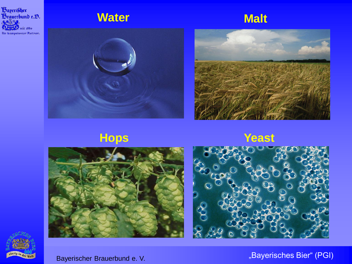

## **Water Malt**











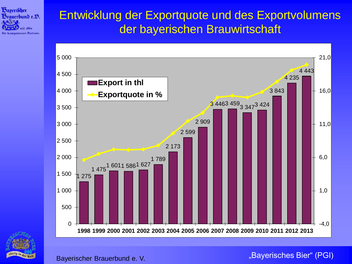

## Entwicklung der Exportquote und des Exportvolumens der bayerischen Brauwirtschaft